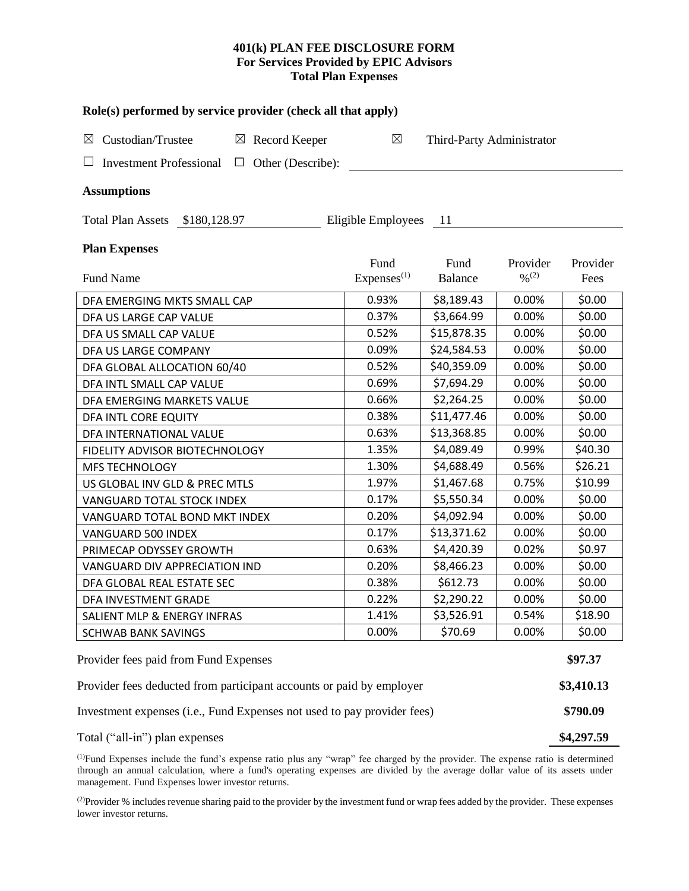# **401(k) PLAN FEE DISCLOSURE FORM For Services Provided by EPIC Advisors Total Plan Expenses**

| Role(s) performed by service provider (check all that apply)            |                        |                           |                              |          |  |  |  |  |  |
|-------------------------------------------------------------------------|------------------------|---------------------------|------------------------------|----------|--|--|--|--|--|
| Custodian/Trustee<br>$\boxtimes$ Record Keeper<br>$\boxtimes$           | $\boxtimes$            | Third-Party Administrator |                              |          |  |  |  |  |  |
| <b>Investment Professional</b><br>Other (Describe):<br>ப<br>$\Box$      |                        |                           |                              |          |  |  |  |  |  |
| <b>Assumptions</b>                                                      |                        |                           |                              |          |  |  |  |  |  |
| Eligible Employees<br>Total Plan Assets \$180,128.97<br>- 11            |                        |                           |                              |          |  |  |  |  |  |
| <b>Plan Expenses</b>                                                    | Fund                   | Fund                      | Provider                     | Provider |  |  |  |  |  |
| Fund Name                                                               | Express <sup>(1)</sup> | <b>Balance</b>            | $\frac{0}{2}$ <sup>(2)</sup> | Fees     |  |  |  |  |  |
| DFA EMERGING MKTS SMALL CAP                                             | 0.93%                  | \$8,189.43                | 0.00%                        | \$0.00   |  |  |  |  |  |
| DFA US LARGE CAP VALUE                                                  | 0.37%                  | \$3,664.99                | 0.00%                        | \$0.00   |  |  |  |  |  |
| DFA US SMALL CAP VALUE                                                  | 0.52%                  | \$15,878.35               | 0.00%                        | \$0.00   |  |  |  |  |  |
| DFA US LARGE COMPANY                                                    | 0.09%                  | \$24,584.53               | 0.00%                        | \$0.00   |  |  |  |  |  |
| DFA GLOBAL ALLOCATION 60/40                                             | 0.52%                  | \$40,359.09               | 0.00%                        | \$0.00   |  |  |  |  |  |
| DFA INTL SMALL CAP VALUE                                                | 0.69%                  | \$7,694.29                | 0.00%                        | \$0.00   |  |  |  |  |  |
| DFA EMERGING MARKETS VALUE                                              | 0.66%                  | \$2,264.25                | 0.00%                        | \$0.00   |  |  |  |  |  |
| DFA INTL CORE EQUITY                                                    | 0.38%                  | \$11,477.46               | 0.00%                        | \$0.00   |  |  |  |  |  |
| DFA INTERNATIONAL VALUE                                                 | 0.63%                  | \$13,368.85               | 0.00%                        | \$0.00   |  |  |  |  |  |
| FIDELITY ADVISOR BIOTECHNOLOGY                                          | 1.35%                  | \$4,089.49                | 0.99%                        | \$40.30  |  |  |  |  |  |
| <b>MFS TECHNOLOGY</b>                                                   | 1.30%                  | \$4,688.49                | 0.56%                        | \$26.21  |  |  |  |  |  |
| US GLOBAL INV GLD & PREC MTLS                                           | 1.97%                  | \$1,467.68                | 0.75%                        | \$10.99  |  |  |  |  |  |
| VANGUARD TOTAL STOCK INDEX                                              | 0.17%                  | \$5,550.34                | 0.00%                        | \$0.00   |  |  |  |  |  |
| VANGUARD TOTAL BOND MKT INDEX                                           | 0.20%                  | \$4,092.94                | 0.00%                        | \$0.00   |  |  |  |  |  |
| VANGUARD 500 INDEX                                                      | 0.17%                  | \$13,371.62               | 0.00%                        | \$0.00   |  |  |  |  |  |
| PRIMECAP ODYSSEY GROWTH                                                 | 0.63%                  | \$4,420.39                | 0.02%                        | \$0.97   |  |  |  |  |  |
| VANGUARD DIV APPRECIATION IND                                           | 0.20%                  | \$8,466.23                | 0.00%                        | \$0.00   |  |  |  |  |  |
| DFA GLOBAL REAL ESTATE SEC                                              | 0.38%                  | \$612.73                  | 0.00%                        | \$0.00   |  |  |  |  |  |
| DFA INVESTMENT GRADE                                                    | 0.22%                  | \$2,290.22                | 0.00%                        | \$0.00   |  |  |  |  |  |
| SALIENT MLP & ENERGY INFRAS                                             | 1.41%                  | \$3,526.91                | 0.54%                        | \$18.90  |  |  |  |  |  |
| SCHWAB BANK SAVINGS                                                     | 0.00%                  | \$70.69                   | 0.00%                        | \$0.00   |  |  |  |  |  |
| Provider fees paid from Fund Expenses                                   |                        |                           |                              |          |  |  |  |  |  |
| Provider fees deducted from participant accounts or paid by employer    |                        |                           |                              |          |  |  |  |  |  |
| Investment expenses (i.e., Fund Expenses not used to pay provider fees) |                        |                           |                              |          |  |  |  |  |  |
| Total ("all-in") plan expenses                                          |                        |                           |                              |          |  |  |  |  |  |

(1)Fund Expenses include the fund's expense ratio plus any "wrap" fee charged by the provider. The expense ratio is determined through an annual calculation, where a fund's operating expenses are divided by the average dollar value of its assets under management. Fund Expenses lower investor returns.

<sup>(2)</sup>Provider % includes revenue sharing paid to the provider by the investment fund or wrap fees added by the provider. These expenses lower investor returns.